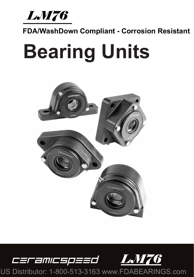*LM76* 

## **FDA/WashDown Compliant - Corrosion Resistant**

# **Bearing Units**



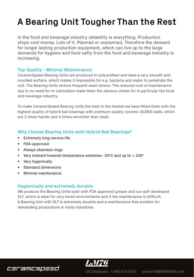# **A Bearing Unit Tougher Than the Rest**

In the food and beverage industry reliability is everything. Production stops cost money. Lots of it. Planned or unplanned. Therefore the demand for longer lasting production equipment, which can live up to the large demands for hygiene and food safty from the food and beverage industry is increasing.

#### **Top Quality - Minimal Maintenance**

CeramicSpeed Bearing Units are produced in polyurethan and have a very smooth and rounded surface, which makes it impossible for e.g. bacteria and water to penetrate the unit. The Bearing Units endure frequent wash downs. The reduced cost of maintenance due to no need for re-lubrication make them the obvious choise for in particular the food and beverage industry.

To make CeramicSpeed Bearing Units the best in the market we have fitted them with the highest quality of hybrid ball bearings with premium-quality ceramic (Si3N4) balls, which are 2 times harder and 4 times smoother than steel.

#### **Why Choose Bearing Units with Hybrid Ball Bearings?**

- Extremely long service life
- FDA-approved
- Always stainless rings
- Very tolerant towards temperature extremes -30ºC and up to + 100º
- Very hygenically
- Standard dimensions
- Minimal maintenance

#### **Hygienically and extremely durable**

We produce the Bearing Units both with FDA approved grease and our self-developed SLT, which is ideal for very harsh environments and if the maintenance is difficult. A Bearing Unit with SLT is extremely durable and a maintenance free solution for demanding productions in many industries.



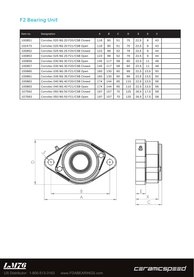### **F2 Bearing Unit**

| Item no. | Designation                       | $\mathsf{A}$ | B.  | $\mathbf{C}$ | D   | E.   | S.   | X. |  |
|----------|-----------------------------------|--------------|-----|--------------|-----|------|------|----|--|
| 100851   | Corrotec 020 NG 20 F20/CSB Closed | 116          | 90  | 51           | 75  | 22.5 | 9    | 43 |  |
| 102473   | Corrotec 020 NG 20 F21/CSB Open   | 116          | 90  | 51           | 75  | 22,5 | 9    | 43 |  |
| 100852   | Corrotec 025 NG 25 F20/CSB Closed | 123          | 99  | 52           | 79  | 22,5 | 9    | 44 |  |
| 100853   | Corrotec 025 NG 25 F21/CSB Open   | 123          | 99  | 52           | 79  | 22,5 | 9    | 44 |  |
| 100856   | Corrotec 030 NG 30 F21/CSB Open   | 145          | 117 | 58           | 90  | 22.5 | 11   | 48 |  |
| 100857   | Corrotec 030 NG 30 F20/CSB Closed | 145          | 117 | 58           | 90  | 22,5 | 11   | 48 |  |
| 100860   | Corrotec 035 NG 35 F21/CSB Open   | 160          | 130 | 60           | 99  | 22.5 | 13.5 | 50 |  |
| 100861   | Corrotec 035 NG 35 F20/CSB Closed | 160          | 130 | 60           | 99  | 22.5 | 13.5 | 50 |  |
| 100862   | Corrotec 040 NG 40 F20/CSB Closed | 174          | 144 | 65           | 110 | 22,5 | 13,5 | 56 |  |
| 100863   | Corrotec 040 NG 40 F21/CSB Open   | 174          | 144 | 65           | 110 | 22,5 | 13,5 | 56 |  |
| 107562   | Corrotec 050 NG 50 F20/CSB Closed | 197          | 157 | 70           | 125 | 26,5 | 17.5 | 58 |  |
| 107563   | Corrotec 050 NG 50 F21/CSB Open   | 197          | 157 | 70           | 125 | 26,5 | 17,5 | 58 |  |







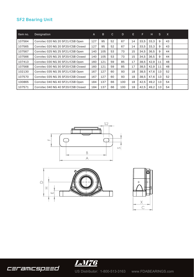#### **SF2 Bearing Unit**

| Item no. | Designation                        | A   | B.  | C. | D.  | E. | F    | Н.   | <sub>S</sub> | $\mathsf{X}$ |  |
|----------|------------------------------------|-----|-----|----|-----|----|------|------|--------------|--------------|--|
| 107564   | Corrotec 020 NG 20 SF21/CSB Open   | 127 | 95  | 52 | 67  | 14 | 33.5 | 33.3 | 9            | 43           |  |
| 107565   | Corrotec 020 NG 20 SF20/CSB Closed | 127 | 95  | 52 | 67  | 14 | 33.5 | 33.3 | 9            | 43           |  |
| 107567   | Corrotec 025 NG 25 SF21/CSB Open   | 140 | 105 | 53 | 73  | 15 | 34.5 | 36.5 | 9            | 44           |  |
| 107566   | Corrotec 025 NG 25 SF20/CSB Closed | 140 | 105 | 53 | 73  | 15 | 34.5 | 36.5 | 9            | 44           |  |
| 107413   | Corrotec 030 NG 30 SF21/CSB Open   | 160 | 121 | 59 | 85  | 17 | 38.5 | 42.9 | 11           | 48           |  |
| 107568   | Corrotec 030 NG 30 SF20/CSB Closed | 160 | 121 | 59 | 85  | 17 | 38.5 | 42.9 | 11           | 48           |  |
| 102130   | Corrotec 035 NG 35 SF21/CSB Open   | 167 | 127 | 60 | 93  | 18 | 38.5 | 47.6 | 13           | 52           |  |
| 107570   | Corrotec 035 NG 35 SF20/CSB Closed | 167 | 127 | 60 | 93  | 18 | 38.5 | 47.6 | 13           | 52           |  |
| 100865   | Corrotec 040 NG 40 SF21/CSB Open   | 184 | 137 | 66 | 100 | 18 | 42.5 | 49.2 | 13           | 54           |  |
| 107571   | Corrotec 040 NG 40 SF20/CSB Closed | 184 | 137 | 66 | 100 | 18 | 42,5 | 49,2 | 13           | 54           |  |









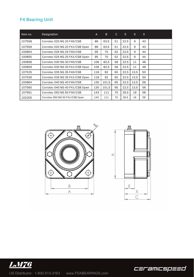#### **F4 Bearing Unit**

| Item no. | Designation                     | $\mathsf{A}$ | B.    | $\mathsf{C}$ | E.   | <sub>S</sub> | $\mathsf{X}$ |  |
|----------|---------------------------------|--------------|-------|--------------|------|--------------|--------------|--|
| 107558   | Corrotec 020 NG 20 F40/CSB      | 86           | 63.5  | 51           | 22.5 | 9            | 43           |  |
| 107559   | Corrotec 020 NG 20 F41/CSB Open | 86           | 63.5  | 51           | 22,5 | 9            | 43           |  |
| 100854   | Corrotec 025 NG 25 F40/CSB      | 95           | 70    | 52           | 22,5 | 9            | 44           |  |
| 100855   | Corrotec 025 NG 25 F41/CSB Open | 95           | 70    | 52           | 22,5 | 9            | 44           |  |
| 100858   | Corrotec 030 NG 30 F40/CSB      | 108          | 82,5  | 58           | 22,5 | 11           | 48           |  |
| 100859   | Corrotec 030 NG 30 F41/CSB Open | 108          | 82,5  | 58           | 22,5 | 11           | 48           |  |
| 107525   | Corrotec 035 NG 35 F40/CSB      | 118          | 92    | 60           | 22,5 | 13.5         | 50           |  |
| 107526   | Corrotec 035 NG 35 F41/CSB Open | 118          | 92    | 60           | 22.5 | 13.5         | 50           |  |
| 100864   | Corrotec 040 NG 40 F40/CSB      | 130          | 101.5 | 65           | 22,5 | 13,5         | 56           |  |
| 107560   | Corrotec 040 NG 40 F41/CSB Open | 130          | 101,5 | 65           | 22,5 | 13,5         | 56           |  |
| 107561   | Corrotec 050 NG 50 F40/CSB      | 143          | 111   | 70           | 26,5 | 16           | 58           |  |
| 102205   | Corrotec 050 NG 50 F41/CSB Open | 143          | 111   | 70           | 26,5 | 16           | 58           |  |